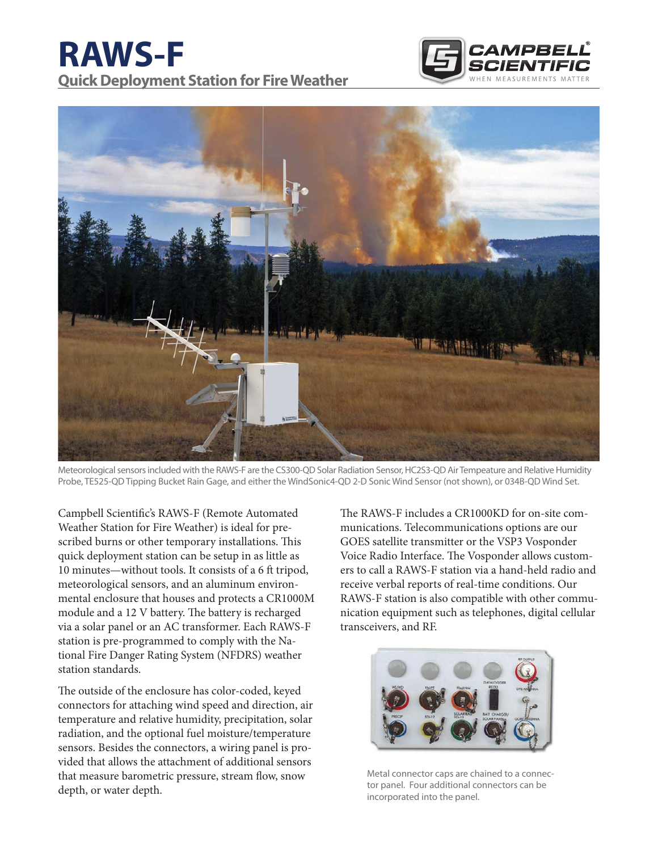# **RAWS-F Quick Deployment Station for Fire Weather**





Meteorological sensors included with the RAWS-F are the CS300-QD Solar Radiation Sensor, HC2S3-QD Air Tempeature and Relative Humidity Probe, TE525-QD Tipping Bucket Rain Gage, and either the WindSonic4-QD 2-D Sonic Wind Sensor (not shown), or 034B-QD Wind Set.

Campbell Scientific's RAWS-F (Remote Automated Weather Station for Fire Weather) is ideal for prescribed burns or other temporary installations. This quick deployment station can be setup in as little as 10 minutes—without tools. It consists of a 6 ft tripod, meteorological sensors, and an aluminum environmental enclosure that houses and protects a CR1000M module and a 12 V battery. The battery is recharged via a solar panel or an AC transformer. Each RAWS-F station is pre-programmed to comply with the National Fire Danger Rating System (NFDRS) weather station standards.

The outside of the enclosure has color-coded, keyed connectors for attaching wind speed and direction, air temperature and relative humidity, precipitation, solar radiation, and the optional fuel moisture/temperature sensors. Besides the connectors, a wiring panel is provided that allows the attachment of additional sensors that measure barometric pressure, stream flow, snow depth, or water depth.

The RAWS-F includes a CR1000KD for on-site communications. Telecommunications options are our GOES satellite transmitter or the VSP3 Vosponder Voice Radio Interface. The Vosponder allows customers to call a RAWS-F station via a hand-held radio and receive verbal reports of real-time conditions. Our RAWS-F station is also compatible with other communication equipment such as telephones, digital cellular transceivers, and RF.



Metal connector caps are chained to a connector panel. Four additional connectors can be incorporated into the panel.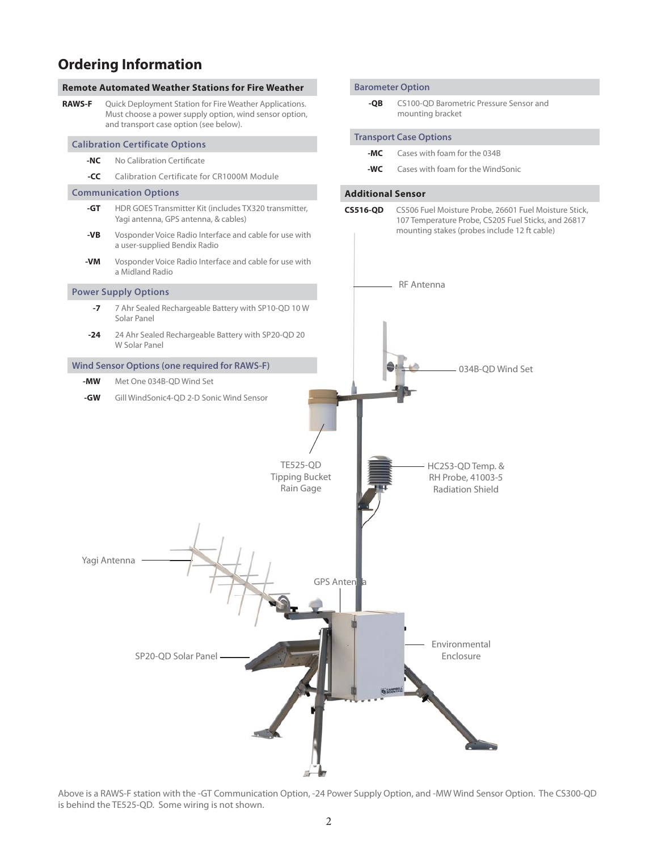## **Ordering Information**



Above is a RAWS-F station with the -GT Communication Option, -24 Power Supply Option, and -MW Wind Sensor Option. The CS300-QD is behind the TE525-QD. Some wiring is not shown.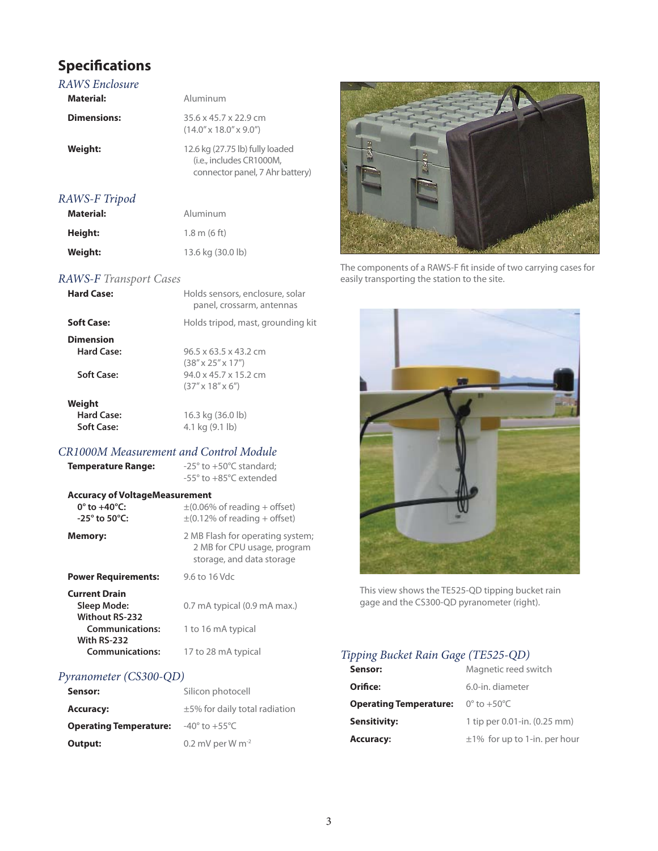# **Specifications**

| Aluminum                                                                                       |
|------------------------------------------------------------------------------------------------|
|                                                                                                |
| $35.6 \times 45.7 \times 22.9$ cm<br>$(14.0'' \times 18.0'' \times 9.0'')$                     |
| 12.6 kg (27.75 lb) fully loaded<br>(i.e., includes CR1000M,<br>connector panel, 7 Ahr battery) |
|                                                                                                |
|                                                                                                |

| Materiai: | Aluminum               |
|-----------|------------------------|
| Height:   | $1.8 \text{ m}$ (6 ft) |
| Weight:   | 13.6 kg (30.0 lb)      |

#### *RAWS-F Transport Cases*

| <b>Hard Case:</b>                            | Holds sensors, enclosure, solar<br>panel, crossarm, antennas                                                                                  |
|----------------------------------------------|-----------------------------------------------------------------------------------------------------------------------------------------------|
| <b>Soft Case:</b>                            | Holds tripod, mast, grounding kit                                                                                                             |
| <b>Dimension</b><br>Hard Case:<br>Soft Case: | $96.5 \times 63.5 \times 43.2$ cm<br>$(38'' \times 25'' \times 17'')$<br>$94.0 \times 45.7 \times 15.2$ cm<br>$(37'' \times 18'' \times 6'')$ |
| Weight<br>Hard Case:<br><b>Soft Case:</b>    | 16.3 kg (36.0 lb)<br>4.1 kg (9.1 lb)                                                                                                          |

## *CR1000M Measurement and Control Module*

| <b>Temperature Range:</b>                                                                    | $-25^\circ$ to $+50^\circ$ C standard:<br>$-55^\circ$ to $+85^\circ$ C extended              |
|----------------------------------------------------------------------------------------------|----------------------------------------------------------------------------------------------|
| <b>Accuracy of VoltageMeasurement</b><br>$0^\circ$ to +40°C:<br>$-25^\circ$ to $50^\circ$ C: | $\pm$ (0.06% of reading + offset)<br>$\pm$ (0.12% of reading + offset)                       |
| Memory:                                                                                      | 2 MB Flash for operating system;<br>2 MB for CPU usage, program<br>storage, and data storage |
| <b>Power Requirements:</b>                                                                   | 9.6 to 16 Vdc                                                                                |
| <b>Current Drain</b><br>Sleep Mode:<br><b>Without RS-232</b><br><b>Communications:</b>       | 0.7 mA typical (0.9 mA max.)<br>1 to 16 mA typical                                           |
| With RS-232<br><b>Communications:</b>                                                        | 17 to 28 mA typical                                                                          |

## *Pyranometer (CS300-QD)*

| Sensor:                       | Silicon photocell                  |
|-------------------------------|------------------------------------|
| <b>Accuracy:</b>              | $\pm$ 5% for daily total radiation |
| <b>Operating Temperature:</b> | $-40^{\circ}$ to $+55^{\circ}$ C   |
| Output:                       | 0.2 mV per W $m^{-2}$              |



The components of a RAWS-F fit inside of two carrying cases for easily transporting the station to the site.



This view shows the TE525-QD tipping bucket rain gage and the CS300-QD pyranometer (right).

## *Tipping Bucket Rain Gage (TE525-QD)*

| Sensor:                       | Magnetic reed switch              |
|-------------------------------|-----------------------------------|
| Orifice:                      | 6.0-in. diameter                  |
| <b>Operating Temperature:</b> | $0^\circ$ to +50 $^\circ$ C       |
| <b>Sensitivity:</b>           | 1 tip per 0.01-in. (0.25 mm)      |
| <b>Accuracy:</b>              | $\pm$ 1% for up to 1-in. per hour |